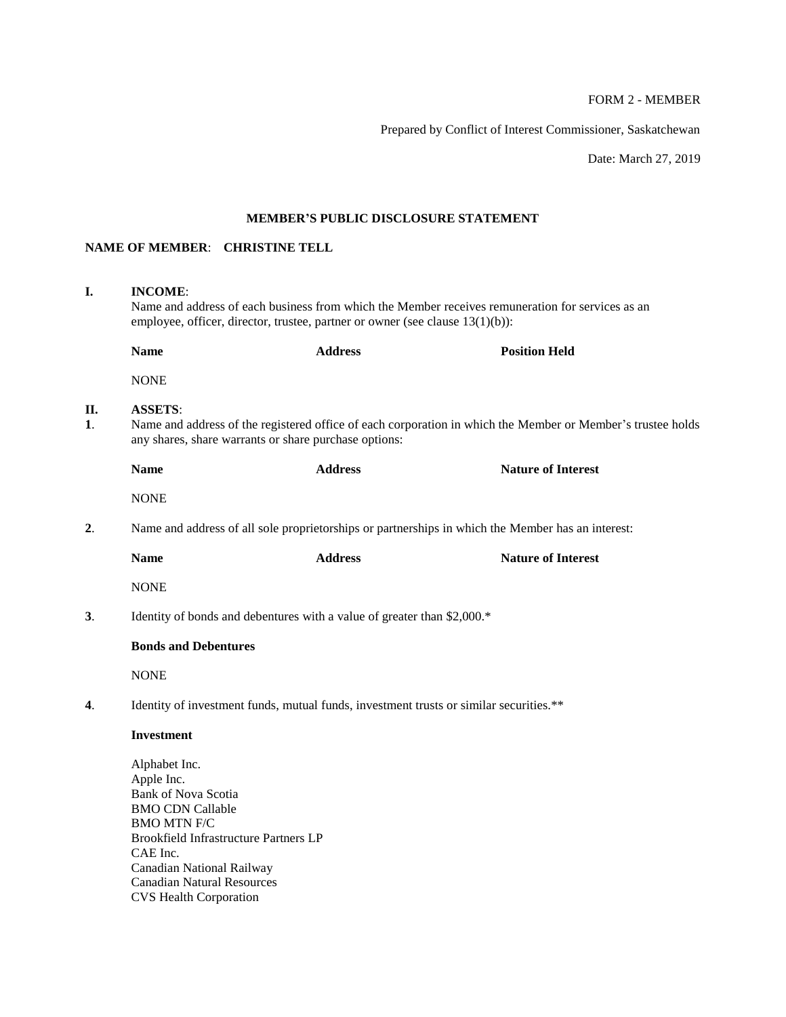# FORM 2 - MEMBER

Prepared by Conflict of Interest Commissioner, Saskatchewan

Date: March 27, 2019

# **MEMBER'S PUBLIC DISCLOSURE STATEMENT**

# **NAME OF MEMBER**: **CHRISTINE TELL**

| I.                          | <b>INCOME:</b><br>Name and address of each business from which the Member receives remuneration for services as an<br>employee, officer, director, trustee, partner or owner (see clause 13(1)(b)):                                                                       |                                                                         |                                                                                                   |  |
|-----------------------------|---------------------------------------------------------------------------------------------------------------------------------------------------------------------------------------------------------------------------------------------------------------------------|-------------------------------------------------------------------------|---------------------------------------------------------------------------------------------------|--|
|                             | <b>Name</b>                                                                                                                                                                                                                                                               | <b>Address</b>                                                          | <b>Position Held</b>                                                                              |  |
|                             | <b>NONE</b>                                                                                                                                                                                                                                                               |                                                                         |                                                                                                   |  |
| П.<br>$\mathbf{1}$ .        | <b>ASSETS:</b><br>Name and address of the registered office of each corporation in which the Member or Member's trustee holds<br>any shares, share warrants or share purchase options:                                                                                    |                                                                         |                                                                                                   |  |
|                             | <b>Name</b>                                                                                                                                                                                                                                                               | <b>Address</b>                                                          | <b>Nature of Interest</b>                                                                         |  |
|                             | <b>NONE</b>                                                                                                                                                                                                                                                               |                                                                         |                                                                                                   |  |
| 2.                          |                                                                                                                                                                                                                                                                           |                                                                         | Name and address of all sole proprietorships or partnerships in which the Member has an interest: |  |
|                             | <b>Name</b>                                                                                                                                                                                                                                                               | <b>Address</b>                                                          | <b>Nature of Interest</b>                                                                         |  |
|                             | <b>NONE</b>                                                                                                                                                                                                                                                               |                                                                         |                                                                                                   |  |
| 3 <sub>1</sub>              |                                                                                                                                                                                                                                                                           | Identity of bonds and debentures with a value of greater than \$2,000.* |                                                                                                   |  |
| <b>Bonds and Debentures</b> |                                                                                                                                                                                                                                                                           |                                                                         |                                                                                                   |  |
|                             | <b>NONE</b>                                                                                                                                                                                                                                                               |                                                                         |                                                                                                   |  |
| 4.                          | Identity of investment funds, mutual funds, investment trusts or similar securities.**                                                                                                                                                                                    |                                                                         |                                                                                                   |  |
|                             | <b>Investment</b>                                                                                                                                                                                                                                                         |                                                                         |                                                                                                   |  |
|                             | Alphabet Inc.<br>Apple Inc.<br><b>Bank of Nova Scotia</b><br><b>BMO CDN Callable</b><br><b>BMO MTN F/C</b><br><b>Brookfield Infrastructure Partners LP</b><br>CAE Inc.<br>Canadian National Railway<br><b>Canadian Natural Resources</b><br><b>CVS Health Corporation</b> |                                                                         |                                                                                                   |  |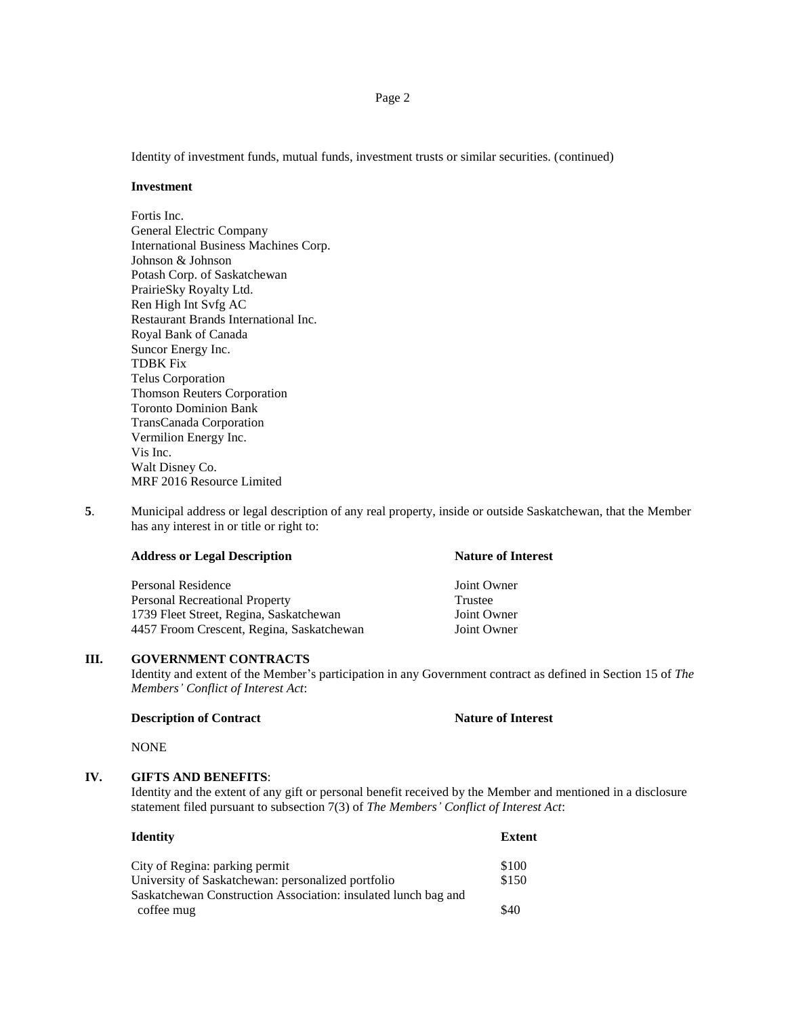Identity of investment funds, mutual funds, investment trusts or similar securities. (continued)

#### **Investment**

Fortis Inc. General Electric Company International Business Machines Corp. Johnson & Johnson Potash Corp. of Saskatchewan PrairieSky Royalty Ltd. Ren High Int Svfg AC Restaurant Brands International Inc. Royal Bank of Canada Suncor Energy Inc. TDBK Fix Telus Corporation Thomson Reuters Corporation Toronto Dominion Bank TransCanada Corporation Vermilion Energy Inc. Vis Inc. Walt Disney Co. MRF 2016 Resource Limited

**5**. Municipal address or legal description of any real property, inside or outside Saskatchewan, that the Member has any interest in or title or right to:

#### **Address or Legal Description Nature of Interest**

Personal Residence Joint Owner Personal Recreational Property Trustee 1739 Fleet Street, Regina, Saskatchewan Joint Owner 4457 Froom Crescent, Regina, Saskatchewan Joint Owner

#### **III. GOVERNMENT CONTRACTS**

Identity and extent of the Member's participation in any Government contract as defined in Section 15 of *The Members' Conflict of Interest Act*:

#### **Description of Contract Nature of Interest**

NONE

#### **IV. GIFTS AND BENEFITS**:

Identity and the extent of any gift or personal benefit received by the Member and mentioned in a disclosure statement filed pursuant to subsection 7(3) of *The Members' Conflict of Interest Act*:

#### **Identity Extent**

| City of Regina: parking permit                                 | \$100 |
|----------------------------------------------------------------|-------|
| University of Saskatchewan: personalized portfolio             | \$150 |
| Saskatchewan Construction Association: insulated lunch bag and |       |
| coffee mug                                                     | \$40  |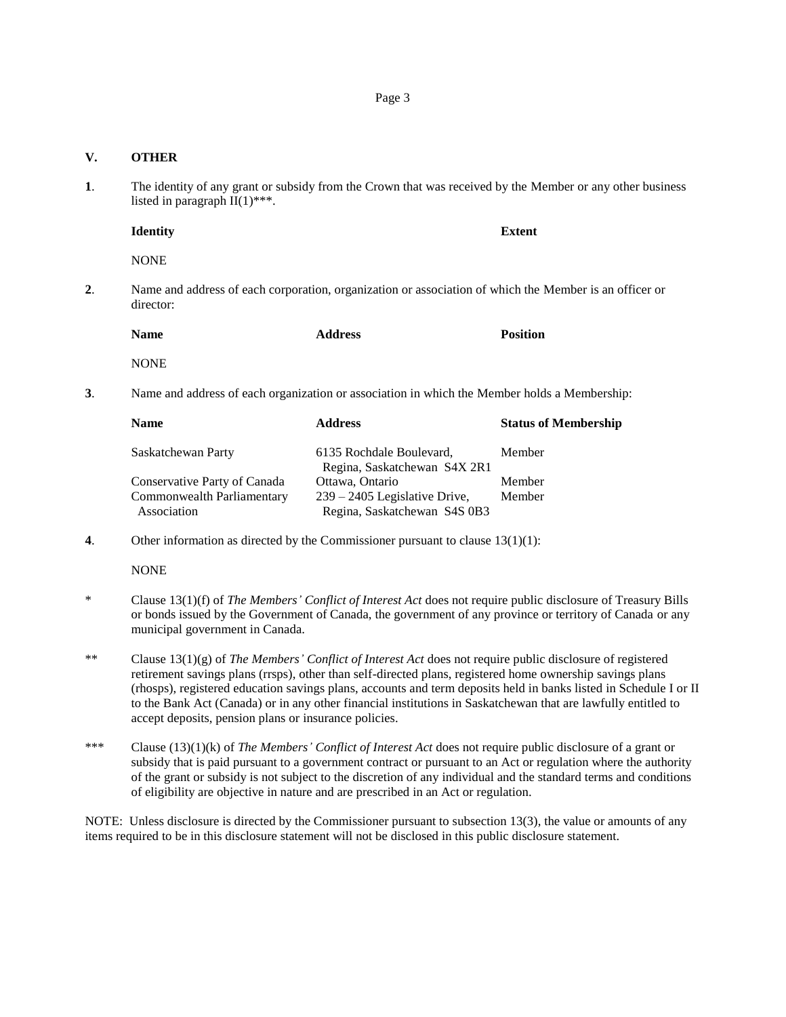## **V. OTHER**

**1**. The identity of any grant or subsidy from the Crown that was received by the Member or any other business listed in paragraph  $\overline{II}(1)$ \*\*\*.

**Identity Extent**

NONE

**2**. Name and address of each corporation, organization or association of which the Member is an officer or director:

| <b>Name</b> | <b>Address</b> | <b>Position</b> |
|-------------|----------------|-----------------|
| NONE        |                |                 |

**3**. Name and address of each organization or association in which the Member holds a Membership:

| <b>Name</b>                  | <b>Address</b>                  | <b>Status of Membership</b> |
|------------------------------|---------------------------------|-----------------------------|
| Saskatchewan Party           | 6135 Rochdale Boulevard,        | Member                      |
|                              | Regina, Saskatchewan S4X 2R1    |                             |
| Conservative Party of Canada | Ottawa, Ontario                 | Member                      |
| Commonwealth Parliamentary   | $239 - 2405$ Legislative Drive, | Member                      |
| Association                  | Regina, Saskatchewan S4S 0B3    |                             |

**4**. Other information as directed by the Commissioner pursuant to clause 13(1)(1):

NONE

- \* Clause 13(1)(f) of *The Members' Conflict of Interest Act* does not require public disclosure of Treasury Bills or bonds issued by the Government of Canada, the government of any province or territory of Canada or any municipal government in Canada.
- \*\* Clause 13(1)(g) of *The Members' Conflict of Interest Act* does not require public disclosure of registered retirement savings plans (rrsps), other than self-directed plans, registered home ownership savings plans (rhosps), registered education savings plans, accounts and term deposits held in banks listed in Schedule I or II to the Bank Act (Canada) or in any other financial institutions in Saskatchewan that are lawfully entitled to accept deposits, pension plans or insurance policies.
- \*\*\* Clause (13)(1)(k) of *The Members' Conflict of Interest Act* does not require public disclosure of a grant or subsidy that is paid pursuant to a government contract or pursuant to an Act or regulation where the authority of the grant or subsidy is not subject to the discretion of any individual and the standard terms and conditions of eligibility are objective in nature and are prescribed in an Act or regulation.

NOTE: Unless disclosure is directed by the Commissioner pursuant to subsection 13(3), the value or amounts of any items required to be in this disclosure statement will not be disclosed in this public disclosure statement.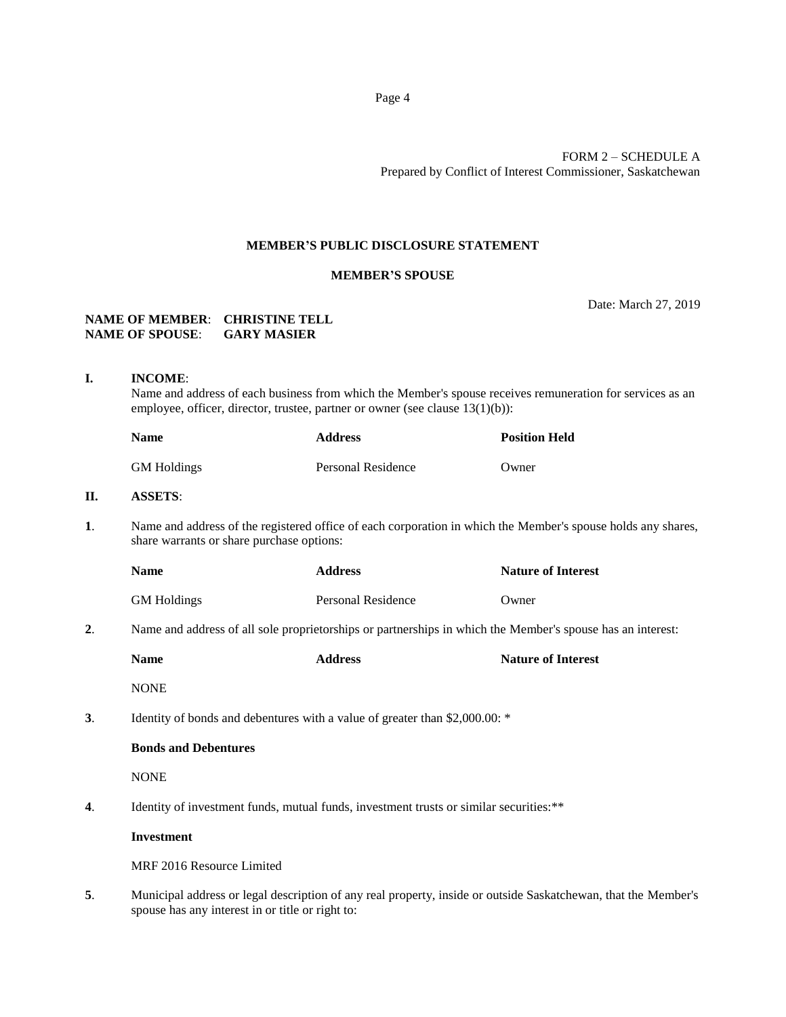## FORM 2 – SCHEDULE A Prepared by Conflict of Interest Commissioner, Saskatchewan

#### **MEMBER'S PUBLIC DISCLOSURE STATEMENT**

### **MEMBER'S SPOUSE**

Date: March 27, 2019

### **NAME OF MEMBER**: **CHRISTINE TELL NAME OF SPOUSE**: **GARY MASIER**

**I. INCOME**: Name and address of each business from which the Member's spouse receives remuneration for services as an employee, officer, director, trustee, partner or owner (see clause 13(1)(b)):

| <b>Name</b>        | <b>Address</b>     | <b>Position Held</b> |
|--------------------|--------------------|----------------------|
| <b>GM</b> Holdings | Personal Residence | Owner                |

# **II. ASSETS**:

**1**. Name and address of the registered office of each corporation in which the Member's spouse holds any shares, share warrants or share purchase options:

| <b>Name</b>        | <b>Address</b>     | <b>Nature of Interest</b> |
|--------------------|--------------------|---------------------------|
| <b>GM Holdings</b> | Personal Residence | Owner                     |

**2**. Name and address of all sole proprietorships or partnerships in which the Member's spouse has an interest:

|                                                                             | <b>Name</b>                 | <b>Address</b> | <b>Nature of Interest</b> |
|-----------------------------------------------------------------------------|-----------------------------|----------------|---------------------------|
|                                                                             | <b>NONE</b>                 |                |                           |
| Identity of bonds and debentures with a value of greater than \$2,000.00: * |                             |                |                           |
|                                                                             | <b>Bonds and Debentures</b> |                |                           |

**NONE** 

**4.** Identity of investment funds, mutual funds, investment trusts or similar securities:\*\*

#### **Investment**

MRF 2016 Resource Limited

**5**. Municipal address or legal description of any real property, inside or outside Saskatchewan, that the Member's spouse has any interest in or title or right to: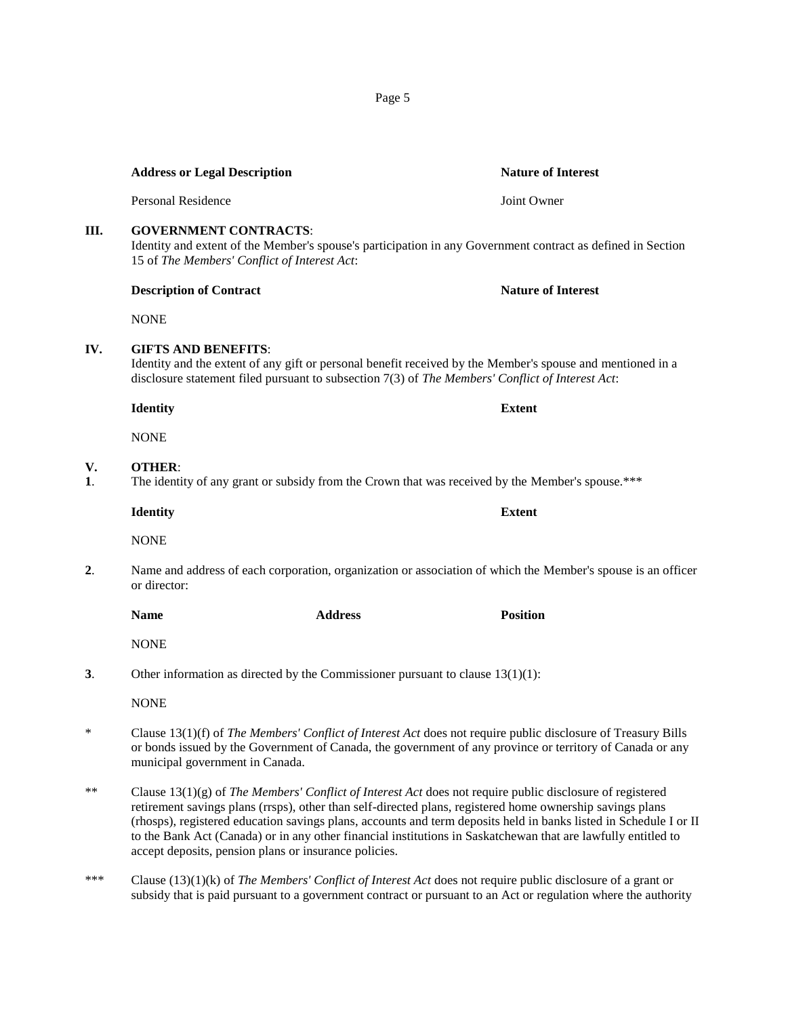|          | Identity and extent of the Member's spouse's participation in any Government contract as defined in Section<br>15 of The Members' Conflict of Interest Act:                                                                                                   |                                                                                                  |                                                                                                                                                                                                                                                                                                                                                                                                                                                                |  |
|----------|---------------------------------------------------------------------------------------------------------------------------------------------------------------------------------------------------------------------------------------------------------------|--------------------------------------------------------------------------------------------------|----------------------------------------------------------------------------------------------------------------------------------------------------------------------------------------------------------------------------------------------------------------------------------------------------------------------------------------------------------------------------------------------------------------------------------------------------------------|--|
|          | <b>Description of Contract</b>                                                                                                                                                                                                                                |                                                                                                  | <b>Nature of Interest</b>                                                                                                                                                                                                                                                                                                                                                                                                                                      |  |
|          | <b>NONE</b>                                                                                                                                                                                                                                                   |                                                                                                  |                                                                                                                                                                                                                                                                                                                                                                                                                                                                |  |
| IV.      | <b>GIFTS AND BENEFITS:</b>                                                                                                                                                                                                                                    |                                                                                                  | Identity and the extent of any gift or personal benefit received by the Member's spouse and mentioned in a<br>disclosure statement filed pursuant to subsection 7(3) of The Members' Conflict of Interest Act:                                                                                                                                                                                                                                                 |  |
|          | <b>Identity</b>                                                                                                                                                                                                                                               |                                                                                                  | <b>Extent</b>                                                                                                                                                                                                                                                                                                                                                                                                                                                  |  |
|          | <b>NONE</b>                                                                                                                                                                                                                                                   |                                                                                                  |                                                                                                                                                                                                                                                                                                                                                                                                                                                                |  |
| V.<br>1. | <b>OTHER:</b>                                                                                                                                                                                                                                                 | The identity of any grant or subsidy from the Crown that was received by the Member's spouse.*** |                                                                                                                                                                                                                                                                                                                                                                                                                                                                |  |
|          | <b>Identity</b>                                                                                                                                                                                                                                               |                                                                                                  | <b>Extent</b>                                                                                                                                                                                                                                                                                                                                                                                                                                                  |  |
|          | <b>NONE</b>                                                                                                                                                                                                                                                   |                                                                                                  |                                                                                                                                                                                                                                                                                                                                                                                                                                                                |  |
| 2.       | or director:                                                                                                                                                                                                                                                  |                                                                                                  | Name and address of each corporation, organization or association of which the Member's spouse is an officer                                                                                                                                                                                                                                                                                                                                                   |  |
|          | <b>Name</b>                                                                                                                                                                                                                                                   | <b>Address</b>                                                                                   | <b>Position</b>                                                                                                                                                                                                                                                                                                                                                                                                                                                |  |
|          | <b>NONE</b>                                                                                                                                                                                                                                                   |                                                                                                  |                                                                                                                                                                                                                                                                                                                                                                                                                                                                |  |
| 3.       | Other information as directed by the Commissioner pursuant to clause $13(1)(1)$ :                                                                                                                                                                             |                                                                                                  |                                                                                                                                                                                                                                                                                                                                                                                                                                                                |  |
|          | <b>NONE</b>                                                                                                                                                                                                                                                   |                                                                                                  |                                                                                                                                                                                                                                                                                                                                                                                                                                                                |  |
| $\ast$   | Clause 13(1)(f) of The Members' Conflict of Interest Act does not require public disclosure of Treasury Bills<br>or bonds issued by the Government of Canada, the government of any province or territory of Canada or any<br>municipal government in Canada. |                                                                                                  |                                                                                                                                                                                                                                                                                                                                                                                                                                                                |  |
| **       |                                                                                                                                                                                                                                                               | accept deposits, pension plans or insurance policies.                                            | Clause $13(1)(g)$ of The Members' Conflict of Interest Act does not require public disclosure of registered<br>retirement savings plans (rrsps), other than self-directed plans, registered home ownership savings plans<br>(rhosps), registered education savings plans, accounts and term deposits held in banks listed in Schedule I or II<br>to the Bank Act (Canada) or in any other financial institutions in Saskatchewan that are lawfully entitled to |  |

\*\*\* Clause (13)(1)(k) of *The Members' Conflict of Interest Act* does not require public disclosure of a grant or subsidy that is paid pursuant to a government contract or pursuant to an Act or regulation where the authority

Page 5

# **Address or Legal Description Nature of Interest**

Personal Residence Joint Owner

# **V**.

**IV.** 

**III. GOVERNMENT CONTRACTS**:

- **1**. The identity of any grant or subsidy from the Crown that was received by the Member's spouse.\*\*\*
- **2**. Name and address of each corporation, organization or association of which the Member's spouse is an officer
- **3**. Other information as directed by the Commissioner pursuant to clause 13(1)(1):